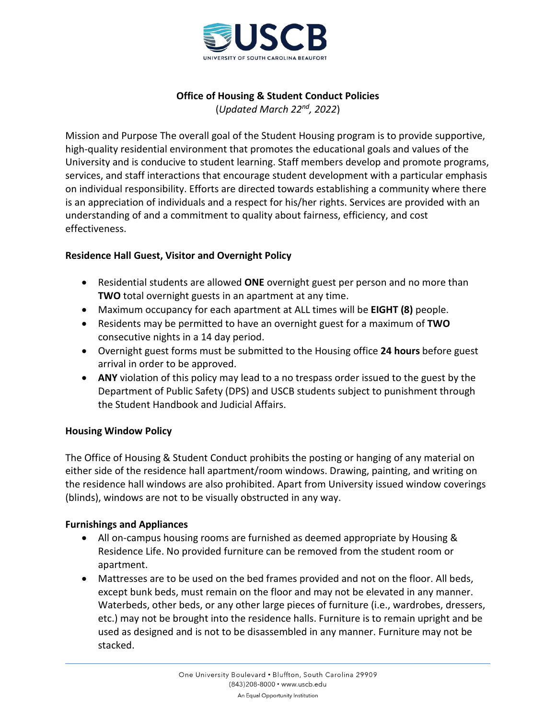

# **Office of Housing & Student Conduct Policies**

(*Updated March 22nd, 2022*)

Mission and Purpose The overall goal of the Student Housing program is to provide supportive, high-quality residential environment that promotes the educational goals and values of the University and is conducive to student learning. Staff members develop and promote programs, services, and staff interactions that encourage student development with a particular emphasis on individual responsibility. Efforts are directed towards establishing a community where there is an appreciation of individuals and a respect for his/her rights. Services are provided with an understanding of and a commitment to quality about fairness, efficiency, and cost effectiveness.

# **Residence Hall Guest, Visitor and Overnight Policy**

- Residential students are allowed **ONE** overnight guest per person and no more than **TWO** total overnight guests in an apartment at any time.
- Maximum occupancy for each apartment at ALL times will be **EIGHT (8)** people.
- Residents may be permitted to have an overnight guest for a maximum of **TWO** consecutive nights in a 14 day period.
- Overnight guest forms must be submitted to the Housing office **24 hours** before guest arrival in order to be approved.
- **ANY** violation of this policy may lead to a no trespass order issued to the guest by the Department of Public Safety (DPS) and USCB students subject to punishment through the Student Handbook and Judicial Affairs.

# **Housing Window Policy**

The Office of Housing & Student Conduct prohibits the posting or hanging of any material on either side of the residence hall apartment/room windows. Drawing, painting, and writing on the residence hall windows are also prohibited. Apart from University issued window coverings (blinds), windows are not to be visually obstructed in any way.

# **Furnishings and Appliances**

- All on-campus housing rooms are furnished as deemed appropriate by Housing & Residence Life. No provided furniture can be removed from the student room or apartment.
- Mattresses are to be used on the bed frames provided and not on the floor. All beds, except bunk beds, must remain on the floor and may not be elevated in any manner. Waterbeds, other beds, or any other large pieces of furniture (i.e., wardrobes, dressers, etc.) may not be brought into the residence halls. Furniture is to remain upright and be used as designed and is not to be disassembled in any manner. Furniture may not be stacked.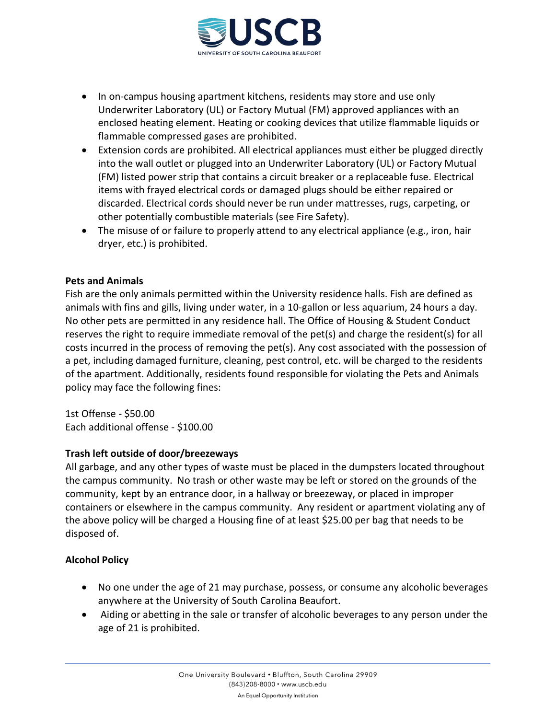

- In on-campus housing apartment kitchens, residents may store and use only Underwriter Laboratory (UL) or Factory Mutual (FM) approved appliances with an enclosed heating element. Heating or cooking devices that utilize flammable liquids or flammable compressed gases are prohibited.
- Extension cords are prohibited. All electrical appliances must either be plugged directly into the wall outlet or plugged into an Underwriter Laboratory (UL) or Factory Mutual (FM) listed power strip that contains a circuit breaker or a replaceable fuse. Electrical items with frayed electrical cords or damaged plugs should be either repaired or discarded. Electrical cords should never be run under mattresses, rugs, carpeting, or other potentially combustible materials (see Fire Safety).
- The misuse of or failure to properly attend to any electrical appliance (e.g., iron, hair dryer, etc.) is prohibited.

# **Pets and Animals**

Fish are the only animals permitted within the University residence halls. Fish are defined as animals with fins and gills, living under water, in a 10-gallon or less aquarium, 24 hours a day. No other pets are permitted in any residence hall. The Office of Housing & Student Conduct reserves the right to require immediate removal of the pet(s) and charge the resident(s) for all costs incurred in the process of removing the pet(s). Any cost associated with the possession of a pet, including damaged furniture, cleaning, pest control, etc. will be charged to the residents of the apartment. Additionally, residents found responsible for violating the Pets and Animals policy may face the following fines:

1st Offense - \$50.00 Each additional offense - \$100.00

# **Trash left outside of door/breezeways**

All garbage, and any other types of waste must be placed in the dumpsters located throughout the campus community. No trash or other waste may be left or stored on the grounds of the community, kept by an entrance door, in a hallway or breezeway, or placed in improper containers or elsewhere in the campus community. Any resident or apartment violating any of the above policy will be charged a Housing fine of at least \$25.00 per bag that needs to be disposed of.

# **Alcohol Policy**

- No one under the age of 21 may purchase, possess, or consume any alcoholic beverages anywhere at the University of South Carolina Beaufort.
- Aiding or abetting in the sale or transfer of alcoholic beverages to any person under the age of 21 is prohibited.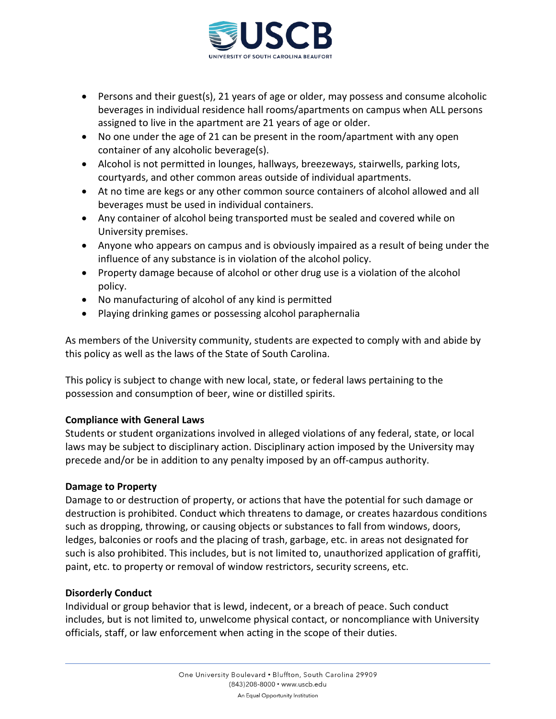

- Persons and their guest(s), 21 years of age or older, may possess and consume alcoholic beverages in individual residence hall rooms/apartments on campus when ALL persons assigned to live in the apartment are 21 years of age or older.
- No one under the age of 21 can be present in the room/apartment with any open container of any alcoholic beverage(s).
- Alcohol is not permitted in lounges, hallways, breezeways, stairwells, parking lots, courtyards, and other common areas outside of individual apartments.
- At no time are kegs or any other common source containers of alcohol allowed and all beverages must be used in individual containers.
- Any container of alcohol being transported must be sealed and covered while on University premises.
- Anyone who appears on campus and is obviously impaired as a result of being under the influence of any substance is in violation of the alcohol policy.
- Property damage because of alcohol or other drug use is a violation of the alcohol policy.
- No manufacturing of alcohol of any kind is permitted
- Playing drinking games or possessing alcohol paraphernalia

As members of the University community, students are expected to comply with and abide by this policy as well as the laws of the State of South Carolina.

This policy is subject to change with new local, state, or federal laws pertaining to the possession and consumption of beer, wine or distilled spirits.

# **Compliance with General Laws**

Students or student organizations involved in alleged violations of any federal, state, or local laws may be subject to disciplinary action. Disciplinary action imposed by the University may precede and/or be in addition to any penalty imposed by an off-campus authority.

# **Damage to Property**

Damage to or destruction of property, or actions that have the potential for such damage or destruction is prohibited. Conduct which threatens to damage, or creates hazardous conditions such as dropping, throwing, or causing objects or substances to fall from windows, doors, ledges, balconies or roofs and the placing of trash, garbage, etc. in areas not designated for such is also prohibited. This includes, but is not limited to, unauthorized application of graffiti, paint, etc. to property or removal of window restrictors, security screens, etc.

# **Disorderly Conduct**

Individual or group behavior that is lewd, indecent, or a breach of peace. Such conduct includes, but is not limited to, unwelcome physical contact, or noncompliance with University officials, staff, or law enforcement when acting in the scope of their duties.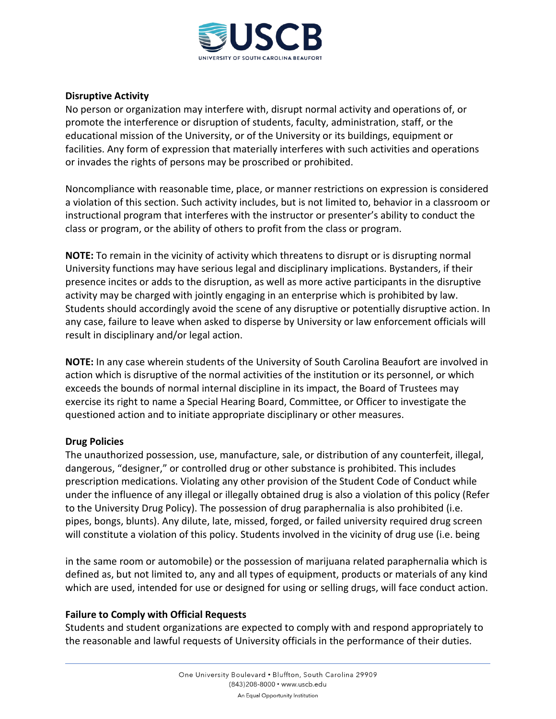

# **Disruptive Activity**

No person or organization may interfere with, disrupt normal activity and operations of, or promote the interference or disruption of students, faculty, administration, staff, or the educational mission of the University, or of the University or its buildings, equipment or facilities. Any form of expression that materially interferes with such activities and operations or invades the rights of persons may be proscribed or prohibited.

Noncompliance with reasonable time, place, or manner restrictions on expression is considered a violation of this section. Such activity includes, but is not limited to, behavior in a classroom or instructional program that interferes with the instructor or presenter's ability to conduct the class or program, or the ability of others to profit from the class or program.

**NOTE:** To remain in the vicinity of activity which threatens to disrupt or is disrupting normal University functions may have serious legal and disciplinary implications. Bystanders, if their presence incites or adds to the disruption, as well as more active participants in the disruptive activity may be charged with jointly engaging in an enterprise which is prohibited by law. Students should accordingly avoid the scene of any disruptive or potentially disruptive action. In any case, failure to leave when asked to disperse by University or law enforcement officials will result in disciplinary and/or legal action.

**NOTE:** In any case wherein students of the University of South Carolina Beaufort are involved in action which is disruptive of the normal activities of the institution or its personnel, or which exceeds the bounds of normal internal discipline in its impact, the Board of Trustees may exercise its right to name a Special Hearing Board, Committee, or Officer to investigate the questioned action and to initiate appropriate disciplinary or other measures.

# **Drug Policies**

The unauthorized possession, use, manufacture, sale, or distribution of any counterfeit, illegal, dangerous, "designer," or controlled drug or other substance is prohibited. This includes prescription medications. Violating any other provision of the Student Code of Conduct while under the influence of any illegal or illegally obtained drug is also a violation of this policy (Refer to the University Drug Policy). The possession of drug paraphernalia is also prohibited (i.e. pipes, bongs, blunts). Any dilute, late, missed, forged, or failed university required drug screen will constitute a violation of this policy. Students involved in the vicinity of drug use (i.e. being

in the same room or automobile) or the possession of marijuana related paraphernalia which is defined as, but not limited to, any and all types of equipment, products or materials of any kind which are used, intended for use or designed for using or selling drugs, will face conduct action.

# **Failure to Comply with Official Requests**

Students and student organizations are expected to comply with and respond appropriately to the reasonable and lawful requests of University officials in the performance of their duties.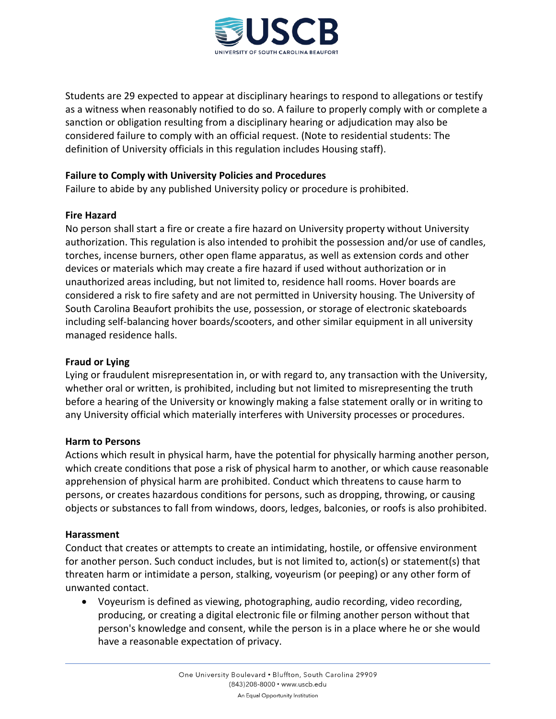

Students are 29 expected to appear at disciplinary hearings to respond to allegations or testify as a witness when reasonably notified to do so. A failure to properly comply with or complete a sanction or obligation resulting from a disciplinary hearing or adjudication may also be considered failure to comply with an official request. (Note to residential students: The definition of University officials in this regulation includes Housing staff).

# **Failure to Comply with University Policies and Procedures**

Failure to abide by any published University policy or procedure is prohibited.

#### **Fire Hazard**

No person shall start a fire or create a fire hazard on University property without University authorization. This regulation is also intended to prohibit the possession and/or use of candles, torches, incense burners, other open flame apparatus, as well as extension cords and other devices or materials which may create a fire hazard if used without authorization or in unauthorized areas including, but not limited to, residence hall rooms. Hover boards are considered a risk to fire safety and are not permitted in University housing. The University of South Carolina Beaufort prohibits the use, possession, or storage of electronic skateboards including self-balancing hover boards/scooters, and other similar equipment in all university managed residence halls.

### **Fraud or Lying**

Lying or fraudulent misrepresentation in, or with regard to, any transaction with the University, whether oral or written, is prohibited, including but not limited to misrepresenting the truth before a hearing of the University or knowingly making a false statement orally or in writing to any University official which materially interferes with University processes or procedures.

#### **Harm to Persons**

Actions which result in physical harm, have the potential for physically harming another person, which create conditions that pose a risk of physical harm to another, or which cause reasonable apprehension of physical harm are prohibited. Conduct which threatens to cause harm to persons, or creates hazardous conditions for persons, such as dropping, throwing, or causing objects or substances to fall from windows, doors, ledges, balconies, or roofs is also prohibited.

#### **Harassment**

Conduct that creates or attempts to create an intimidating, hostile, or offensive environment for another person. Such conduct includes, but is not limited to, action(s) or statement(s) that threaten harm or intimidate a person, stalking, voyeurism (or peeping) or any other form of unwanted contact.

• Voyeurism is defined as viewing, photographing, audio recording, video recording, producing, or creating a digital electronic file or filming another person without that person's knowledge and consent, while the person is in a place where he or she would have a reasonable expectation of privacy.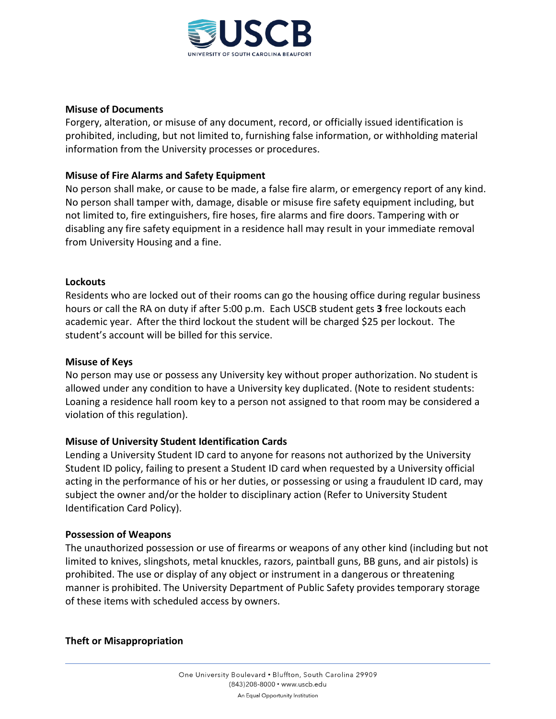

### **Misuse of Documents**

Forgery, alteration, or misuse of any document, record, or officially issued identification is prohibited, including, but not limited to, furnishing false information, or withholding material information from the University processes or procedures.

# **Misuse of Fire Alarms and Safety Equipment**

No person shall make, or cause to be made, a false fire alarm, or emergency report of any kind. No person shall tamper with, damage, disable or misuse fire safety equipment including, but not limited to, fire extinguishers, fire hoses, fire alarms and fire doors. Tampering with or disabling any fire safety equipment in a residence hall may result in your immediate removal from University Housing and a fine.

# **Lockouts**

Residents who are locked out of their rooms can go the housing office during regular business hours or call the RA on duty if after 5:00 p.m. Each USCB student gets **3** free lockouts each academic year. After the third lockout the student will be charged \$25 per lockout. The student's account will be billed for this service.

### **Misuse of Keys**

No person may use or possess any University key without proper authorization. No student is allowed under any condition to have a University key duplicated. (Note to resident students: Loaning a residence hall room key to a person not assigned to that room may be considered a violation of this regulation).

# **Misuse of University Student Identification Cards**

Lending a University Student ID card to anyone for reasons not authorized by the University Student ID policy, failing to present a Student ID card when requested by a University official acting in the performance of his or her duties, or possessing or using a fraudulent ID card, may subject the owner and/or the holder to disciplinary action (Refer to University Student Identification Card Policy).

# **Possession of Weapons**

The unauthorized possession or use of firearms or weapons of any other kind (including but not limited to knives, slingshots, metal knuckles, razors, paintball guns, BB guns, and air pistols) is prohibited. The use or display of any object or instrument in a dangerous or threatening manner is prohibited. The University Department of Public Safety provides temporary storage of these items with scheduled access by owners.

# **Theft or Misappropriation**